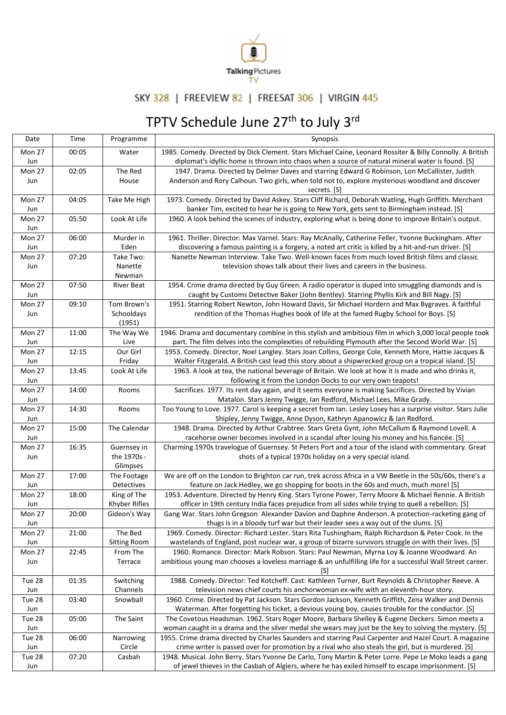

## SKY 328 | FREEVIEW 82 | FREESAT 306 | VIRGIN 445

## TPTV Schedule June 27<sup>th</sup> to July 3<sup>rd</sup>

| Date          | Time  | Programme                 | Synopsis                                                                                                                                                                                                      |
|---------------|-------|---------------------------|---------------------------------------------------------------------------------------------------------------------------------------------------------------------------------------------------------------|
| Mon 27        | 00:05 | Water                     | 1985. Comedy. Directed by Dick Clement. Stars Michael Caine, Leonard Rossiter & Billy Connolly. A British                                                                                                     |
| Jun           |       |                           | diplomat's idyllic home is thrown into chaos when a source of natural mineral water is found. [S]                                                                                                             |
| Mon 27        | 02:05 | The Red                   | 1947. Drama. Directed by Delmer Daves and starring Edward G Robinson, Lon McCallister, Judith                                                                                                                 |
| Jun           |       | House                     | Anderson and Rory Calhoun. Two girls, when told not to, explore mysterious woodland and discover                                                                                                              |
|               |       |                           | secrets. [S]                                                                                                                                                                                                  |
| Mon 27<br>Jun | 04:05 | Take Me High              | 1973. Comedy. Directed by David Askey. Stars Cliff Richard, Deborah Watling, Hugh Griffith. Merchant<br>banker Tim, excited to hear he is going to New York, gets sent to Birmingham instead. [S]             |
| Mon 27        | 05:50 | Look At Life              | 1960. A look behind the scenes of industry, exploring what is being done to improve Britain's output.                                                                                                         |
| Jun           |       |                           |                                                                                                                                                                                                               |
| Mon 27        | 06:00 | Murder in                 | 1961. Thriller. Director: Max Varnel. Stars: Ray McAnally, Catherine Feller, Yvonne Buckingham. After                                                                                                         |
| Jun           |       | Eden                      | discovering a famous painting is a forgery, a noted art critic is killed by a hit-and-run driver. [S]                                                                                                         |
| Mon 27        | 07:20 | Take Two:                 | Nanette Newman Interview. Take Two. Well-known faces from much loved British films and classic                                                                                                                |
| Jun           |       | Nanette                   | television shows talk about their lives and careers in the business.                                                                                                                                          |
|               |       | Newman                    |                                                                                                                                                                                                               |
| Mon 27        | 07:50 | <b>River Beat</b>         | 1954. Crime drama directed by Guy Green. A radio operator is duped into smuggling diamonds and is                                                                                                             |
| Jun           |       |                           | caught by Customs Detective Baker (John Bentley). Starring Phyllis Kirk and Bill Nagy. [S]                                                                                                                    |
| Mon 27        | 09:10 | Tom Brown's               | 1951. Starring Robert Newton, John Howard Davis, Sir Michael Hordern and Max Bygraves. A faithful                                                                                                             |
| Jun           |       | Schooldays                | rendition of the Thomas Hughes book of life at the famed Rugby School for Boys. [S]                                                                                                                           |
| Mon 27        |       | (1951)                    |                                                                                                                                                                                                               |
|               | 11:00 | The Way We                | 1946. Drama and documentary combine in this stylish and ambitious film in which 3,000 local people took<br>part. The film delves into the complexities of rebuilding Plymouth after the Second World War. [S] |
| Jun<br>Mon 27 | 12:15 | Live<br>Our Girl          | 1953. Comedy. Director, Noel Langley. Stars Joan Collins, George Cole, Kenneth More, Hattie Jacques &                                                                                                         |
| Jun           |       | Friday                    | Walter Fitzgerald. A British cast lead this story about a shipwrecked group on a tropical island. [S]                                                                                                         |
| Mon 27        | 13:45 | Look At Life              | 1963. A look at tea, the national beverage of Britain. We look at how it is made and who drinks it,                                                                                                           |
| Jun           |       |                           | following it from the London Docks to our very own teapots!                                                                                                                                                   |
| Mon 27        | 14:00 | Rooms                     | Sacrifices. 1977. Its rent day again, and it seems everyone is making Sacrifices. Directed by Vivian                                                                                                          |
| Jun           |       |                           | Matalon. Stars Jenny Twigge, Ian Redford, Michael Lees, Mike Grady.                                                                                                                                           |
| Mon 27        | 14:30 | Rooms                     | Too Young to Love. 1977. Carol is keeping a secret from Ian. Lesley Losey has a surprise visitor. Stars Julie                                                                                                 |
| Jun           |       |                           | Shipley, Jenny Twigge, Anne Dyson, Kathryn Apanowicz & Ian Redford.                                                                                                                                           |
| Mon 27        | 15:00 | The Calendar              | 1948. Drama. Directed by Arthur Crabtree. Stars Greta Gynt, John McCallum & Raymond Lovell. A                                                                                                                 |
| Jun           |       |                           | racehorse owner becomes involved in a scandal after losing his money and his fiancée. [S]                                                                                                                     |
| Mon 27        | 16:35 | Guernsey in               | Charming 1970s travelogue of Guernsey. St Peters Port and a tour of the island with commentary. Great                                                                                                         |
| Jun           |       | the 1970s -               | shots of a typical 1970s holiday on a very special island.                                                                                                                                                    |
|               |       | Glimpses                  |                                                                                                                                                                                                               |
| Mon 27        | 17:00 | The Footage               | We are off on the London to Brighton car run, trek across Africa in a VW Beetle in the 50s/60s, there's a<br>feature on Jack Hedley, we go shopping for boots in the 60s and much, much more! [S]             |
| Jun<br>Mon 27 | 18:00 | Detectives<br>King of The | 1953. Adventure. Directed by Henry King. Stars Tyrone Power, Terry Moore & Michael Rennie. A British                                                                                                          |
| Jun           |       | Khyber Rifles             | officer in 19th century India faces prejudice from all sides while trying to quell a rebellion. [S]                                                                                                           |
| Mon 27        | 20:00 | Gideon's Way              | Gang War. Stars John Gregson Alexander Davion and Daphne Anderson. A protection-racketing gang of                                                                                                             |
| Jun           |       |                           | thugs is in a bloody turf war but their leader sees a way out of the slums. [S]                                                                                                                               |
| Mon 27        | 21:00 | The Bed                   | 1969. Comedy. Director: Richard Lester. Stars Rita Tushingham, Ralph Richardson & Peter Cook. In the                                                                                                          |
| Jun           |       | <b>Sitting Room</b>       | wastelands of England, post nuclear war, a group of bizarre survivors struggle on with their lives. [S]                                                                                                       |
| Mon 27        | 22:45 | From The                  | 1960. Romance. Director: Mark Robson. Stars: Paul Newman, Myrna Loy & Joanne Woodward. An                                                                                                                     |
| Jun           |       | Terrace                   | ambitious young man chooses a loveless marriage & an unfulfilling life for a successful Wall Street career.                                                                                                   |
|               |       |                           | [S]                                                                                                                                                                                                           |
| Tue 28        | 01:35 | Switching                 | 1988. Comedy. Director: Ted Kotcheff. Cast: Kathleen Turner, Burt Reynolds & Christopher Reeve. A                                                                                                             |
| Jun           |       | Channels                  | television news chief courts his anchorwoman ex-wife with an eleventh-hour story.                                                                                                                             |
| Tue 28        | 03:40 | Snowball                  | 1960. Crime. Directed by Pat Jackson. Stars Gordon Jackson, Kenneth Griffith, Zena Walker and Dennis<br>Waterman. After forgetting his ticket, a devious young boy, causes trouble for the conductor. [S]     |
| Jun<br>Tue 28 | 05:00 | The Saint                 | The Covetous Headsman. 1962. Stars Roger Moore, Barbara Shelley & Eugene Deckers. Simon meets a                                                                                                               |
| Jun           |       |                           | woman caught in a drama and the silver medal she wears may just be the key to solving the mystery. [S]                                                                                                        |
| Tue 28        | 06:00 | Narrowing                 | 1955. Crime drama directed by Charles Saunders and starring Paul Carpenter and Hazel Court. A magazine                                                                                                        |
| Jun           |       | Circle                    | crime writer is passed over for promotion by a rival who also steals the girl, but is murdered. [S]                                                                                                           |
| Tue 28        | 07:20 | Casbah                    | 1948. Musical. John Berry. Stars Yvonne De Carlo, Tony Martin & Peter Lorre. Pepe Le Moko leads a gang                                                                                                        |
| Jun           |       |                           | of jewel thieves in the Casbah of Algiers, where he has exiled himself to escape imprisonment. [S]                                                                                                            |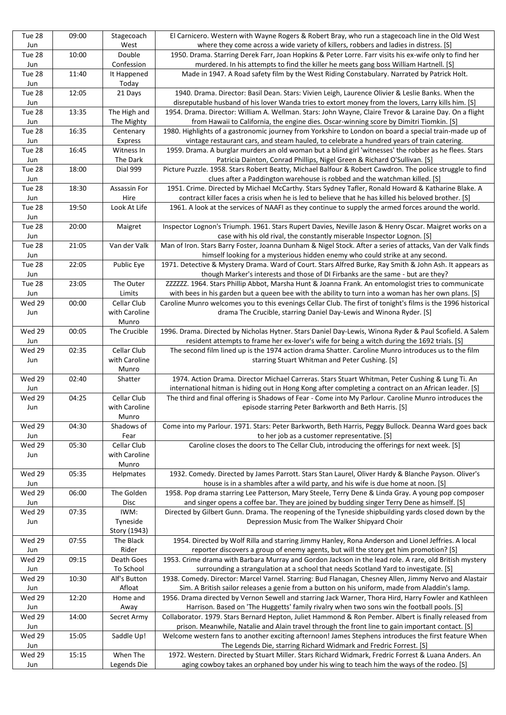| Tue 28<br>Jun | 09:00 | Stagecoach<br>West           | El Carnicero. Western with Wayne Rogers & Robert Bray, who run a stagecoach line in the Old West<br>where they come across a wide variety of killers, robbers and ladies in distress. [S]                             |
|---------------|-------|------------------------------|-----------------------------------------------------------------------------------------------------------------------------------------------------------------------------------------------------------------------|
| Tue 28        | 10:00 | Double                       | 1950. Drama. Starring Derek Farr, Joan Hopkins & Peter Lorre. Farr visits his ex-wife only to find her                                                                                                                |
| Jun           |       | Confession                   | murdered. In his attempts to find the killer he meets gang boss William Hartnell. [S]                                                                                                                                 |
| Tue 28<br>Jun | 11:40 | It Happened<br>Today         | Made in 1947. A Road safety film by the West Riding Constabulary. Narrated by Patrick Holt.                                                                                                                           |
| Tue 28<br>Jun | 12:05 | 21 Days                      | 1940. Drama. Director: Basil Dean. Stars: Vivien Leigh, Laurence Olivier & Leslie Banks. When the<br>disreputable husband of his lover Wanda tries to extort money from the lovers, Larry kills him. [S]              |
| Tue 28        | 13:35 | The High and                 | 1954. Drama. Director: William A. Wellman. Stars: John Wayne, Claire Trevor & Laraine Day. On a flight                                                                                                                |
| Jun           |       | The Mighty                   | from Hawaii to California, the engine dies. Oscar-winning score by Dimitri Tiomkin. [S]                                                                                                                               |
| Tue 28        | 16:35 | Centenary                    | 1980. Highlights of a gastronomic journey from Yorkshire to London on board a special train-made up of                                                                                                                |
| Jun           |       | Express                      | vintage restaurant cars, and steam hauled, to celebrate a hundred years of train catering.                                                                                                                            |
| Tue 28<br>Jun | 16:45 | Witness In<br>The Dark       | 1959. Drama. A burglar murders an old woman but a blind girl 'witnesses' the robber as he flees. Stars<br>Patricia Dainton, Conrad Phillips, Nigel Green & Richard O'Sullivan. [S]                                    |
| Tue 28        | 18:00 | Dial 999                     | Picture Puzzle. 1958. Stars Robert Beatty, Michael Balfour & Robert Cawdron. The police struggle to find                                                                                                              |
| Jun<br>Tue 28 | 18:30 | Assassin For                 | clues after a Paddington warehouse is robbed and the watchman killed. [S]<br>1951. Crime. Directed by Michael McCarthy. Stars Sydney Tafler, Ronald Howard & Katharine Blake. A                                       |
| Jun           |       | Hire                         | contract killer faces a crisis when he is led to believe that he has killed his beloved brother. [S]                                                                                                                  |
| Tue 28<br>Jun | 19:50 | Look At Life                 | 1961. A look at the services of NAAFI as they continue to supply the armed forces around the world.                                                                                                                   |
| Tue 28        | 20:00 | Maigret                      | Inspector Lognon's Triumph. 1961. Stars Rupert Davies, Neville Jason & Henry Oscar. Maigret works on a                                                                                                                |
| Jun           |       |                              | case with his old rival, the constantly miserable Inspector Lognon. [S]                                                                                                                                               |
| Tue 28<br>Jun | 21:05 | Van der Valk                 | Man of Iron. Stars Barry Foster, Joanna Dunham & Nigel Stock. After a series of attacks, Van der Valk finds<br>himself looking for a mysterious hidden enemy who could strike at any second.                          |
| Tue 28        | 22:05 | Public Eye                   | 1971. Detective & Mystery Drama. Ward of Court. Stars Alfred Burke, Ray Smith & John Ash. It appears as                                                                                                               |
| Jun           |       |                              | though Marker's interests and those of DI Firbanks are the same - but are they?                                                                                                                                       |
| Tue 28        | 23:05 | The Outer                    | ZZZZZZ. 1964. Stars Phillip Abbot, Marsha Hunt & Joanna Frank. An entomologist tries to communicate                                                                                                                   |
| Jun<br>Wed 29 | 00:00 | Limits<br>Cellar Club        | with bees in his garden but a queen bee with the ability to turn into a woman has her own plans. [S]<br>Caroline Munro welcomes you to this evenings Cellar Club. The first of tonight's films is the 1996 historical |
| Jun           |       | with Caroline<br>Munro       | drama The Crucible, starring Daniel Day-Lewis and Winona Ryder. [S]                                                                                                                                                   |
| Wed 29<br>Jun | 00:05 | The Crucible                 | 1996. Drama. Directed by Nicholas Hytner. Stars Daniel Day-Lewis, Winona Ryder & Paul Scofield. A Salem<br>resident attempts to frame her ex-lover's wife for being a witch during the 1692 trials. [S]               |
| Wed 29        | 02:35 | Cellar Club                  | The second film lined up is the 1974 action drama Shatter. Caroline Munro introduces us to the film                                                                                                                   |
| Jun           |       | with Caroline<br>Munro       | starring Stuart Whitman and Peter Cushing. [S]                                                                                                                                                                        |
| Wed 29        | 02:40 | Shatter                      | 1974. Action Drama. Director Michael Carreras. Stars Stuart Whitman, Peter Cushing & Lung Ti. An                                                                                                                      |
| Jun           |       |                              | international hitman is hiding out in Hong Kong after completing a contract on an African leader. [S]                                                                                                                 |
| Wed 29<br>Jun | 04:25 | Cellar Club<br>with Caroline | The third and final offering is Shadows of Fear - Come into My Parlour. Caroline Munro introduces the<br>episode starring Peter Barkworth and Beth Harris. [S]                                                        |
|               |       | Munro                        |                                                                                                                                                                                                                       |
| Wed 29        | 04:30 | Shadows of                   | Come into my Parlour. 1971. Stars: Peter Barkworth, Beth Harris, Peggy Bullock. Deanna Ward goes back                                                                                                                 |
| Jun           |       | Fear                         | to her job as a customer representative. [S]                                                                                                                                                                          |
| Wed 29<br>Jun | 05:30 | Cellar Club<br>with Caroline | Caroline closes the doors to The Cellar Club, introducing the offerings for next week. [S]                                                                                                                            |
|               |       | Munro                        |                                                                                                                                                                                                                       |
| Wed 29<br>Jun | 05:35 | Helpmates                    | 1932. Comedy. Directed by James Parrott. Stars Stan Laurel, Oliver Hardy & Blanche Payson. Oliver's<br>house is in a shambles after a wild party, and his wife is due home at noon. [S]                               |
| Wed 29        |       |                              |                                                                                                                                                                                                                       |
| Jun           | 06:00 | The Golden                   | 1958. Pop drama starring Lee Patterson, Mary Steele, Terry Dene & Linda Gray. A young pop composer                                                                                                                    |
| Wed 29        |       | <b>Disc</b>                  | and singer opens a coffee bar. They are joined by budding singer Terry Dene as himself. [S]                                                                                                                           |
|               | 07:35 | IWM:                         | Directed by Gilbert Gunn. Drama. The reopening of the Tyneside shipbuilding yards closed down by the                                                                                                                  |
| Jun           |       | Tyneside                     | Depression Music from The Walker Shipyard Choir                                                                                                                                                                       |
| Wed 29        | 07:55 | Story (1943)<br>The Black    | 1954. Directed by Wolf Rilla and starring Jimmy Hanley, Rona Anderson and Lionel Jeffries. A local                                                                                                                    |
| Jun           |       | Rider                        | reporter discovers a group of enemy agents, but will the story get him promotion? [S]                                                                                                                                 |
| Wed 29        | 09:15 | Death Goes                   | 1953. Crime drama with Barbara Murray and Gordon Jackson in the lead role. A rare, old British mystery                                                                                                                |
| Jun           |       | To School                    | surrounding a strangulation at a school that needs Scotland Yard to investigate. [S]                                                                                                                                  |
| Wed 29<br>Jun | 10:30 | Alf's Button<br>Afloat       | 1938. Comedy. Director: Marcel Varnel. Starring: Bud Flanagan, Chesney Allen, Jimmy Nervo and Alastair<br>Sim. A British sailor releases a genie from a button on his uniform, made from Aladdin's lamp.              |
| Wed 29<br>Jun | 12:20 | Home and<br>Away             | 1956. Drama directed by Vernon Sewell and starring Jack Warner, Thora Hird, Harry Fowler and Kathleen<br>Harrison. Based on 'The Huggetts' family rivalry when two sons win the football pools. [S]                   |
| Wed 29        | 14:00 | Secret Army                  | Collaborator. 1979. Stars Bernard Hepton, Juliet Hammond & Ron Pember. Albert is finally released from                                                                                                                |
| Jun           |       |                              | prison. Meanwhile, Natalie and Alain travel through the front line to gain important contact. [S]                                                                                                                     |
| Wed 29        | 15:05 | Saddle Up!                   | Welcome western fans to another exciting afternoon! James Stephens introduces the first feature When                                                                                                                  |
| Jun<br>Wed 29 | 15:15 | When The                     | The Legends Die, starring Richard Widmark and Fredric Forrest. [S]<br>1972. Western. Directed by Stuart Miller. Stars Richard Widmark, Fredric Forrest & Luana Anders. An                                             |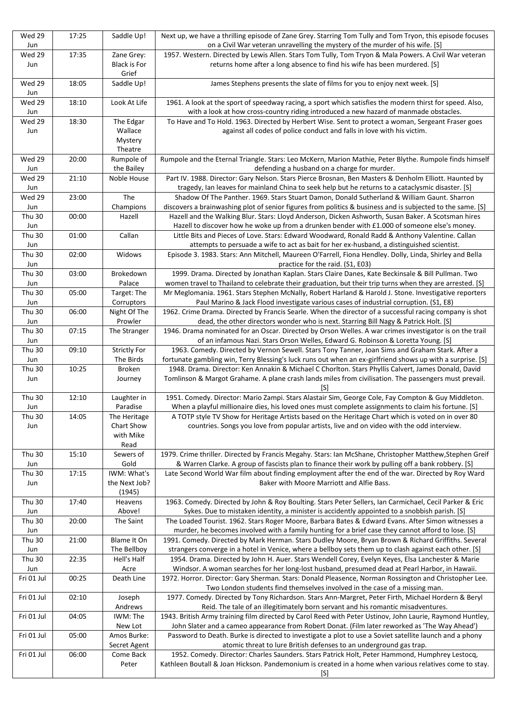| Wed 29<br>Jun        | 17:25 | Saddle Up!                   | Next up, we have a thrilling episode of Zane Grey. Starring Tom Tully and Tom Tryon, this episode focuses<br>on a Civil War veteran unravelling the mystery of the murder of his wife. [S]                 |
|----------------------|-------|------------------------------|------------------------------------------------------------------------------------------------------------------------------------------------------------------------------------------------------------|
| Wed 29               | 17:35 | Zane Grey:                   | 1957. Western. Directed by Lewis Allen. Stars Tom Tully, Tom Tryon & Mala Powers. A Civil War veteran                                                                                                      |
| Jun                  |       | <b>Black is For</b><br>Grief | returns home after a long absence to find his wife has been murdered. [S]                                                                                                                                  |
| Wed 29<br>Jun        | 18:05 | Saddle Up!                   | James Stephens presents the slate of films for you to enjoy next week. [S]                                                                                                                                 |
| Wed 29<br>Jun        | 18:10 | Look At Life                 | 1961. A look at the sport of speedway racing, a sport which satisfies the modern thirst for speed. Also,<br>with a look at how cross-country riding introduced a new hazard of manmade obstacles.          |
| Wed 29               | 18:30 | The Edgar                    | To Have and To Hold. 1963. Directed by Herbert Wise. Sent to protect a woman, Sergeant Fraser goes                                                                                                         |
| Jun                  |       | Wallace                      | against all codes of police conduct and falls in love with his victim.                                                                                                                                     |
|                      |       | Mystery                      |                                                                                                                                                                                                            |
|                      |       | Theatre                      |                                                                                                                                                                                                            |
| Wed 29               | 20:00 | Rumpole of                   | Rumpole and the Eternal Triangle. Stars: Leo McKern, Marion Mathie, Peter Blythe. Rumpole finds himself                                                                                                    |
| Jun                  |       | the Bailey                   | defending a husband on a charge for murder.                                                                                                                                                                |
| Wed 29<br>Jun        | 21:10 | Noble House                  | Part IV. 1988. Director: Gary Nelson. Stars Pierce Brosnan, Ben Masters & Denholm Elliott. Haunted by<br>tragedy, Ian leaves for mainland China to seek help but he returns to a cataclysmic disaster. [S] |
| Wed 29               | 23:00 | The                          | Shadow Of The Panther. 1969. Stars Stuart Damon, Donald Sutherland & William Gaunt. Sharron                                                                                                                |
| Jun                  |       | Champions                    | discovers a brainwashing plot of senior figures from politics & business and is subjected to the same. [S]                                                                                                 |
| Thu 30               | 00:00 | Hazell                       | Hazell and the Walking Blur. Stars: Lloyd Anderson, Dicken Ashworth, Susan Baker. A Scotsman hires                                                                                                         |
| Jun                  |       |                              | Hazell to discover how he woke up from a drunken bender with £1.000 of someone else's money.                                                                                                               |
| Thu 30               | 01:00 | Callan                       | Little Bits and Pieces of Love. Stars: Edward Woodward, Ronald Radd & Anthony Valentine. Callan                                                                                                            |
| Jun                  |       |                              | attempts to persuade a wife to act as bait for her ex-husband, a distinguished scientist.                                                                                                                  |
| Thu 30<br>Jun        | 02:00 | Widows                       | Episode 3. 1983. Stars: Ann Mitchell, Maureen O'Farrell, Fiona Hendley. Dolly, Linda, Shirley and Bella<br>practice for the raid. (S1, E03)                                                                |
| Thu 30               | 03:00 | Brokedown                    | 1999. Drama. Directed by Jonathan Kaplan. Stars Claire Danes, Kate Beckinsale & Bill Pullman. Two                                                                                                          |
| Jun                  |       | Palace                       | women travel to Thailand to celebrate their graduation, but their trip turns when they are arrested. [S]                                                                                                   |
| Thu 30               | 05:00 | Target: The                  | Mr Meglomania. 1961. Stars Stephen McNally, Robert Harland & Harold J. Stone. Investigative reporters                                                                                                      |
| Jun                  |       | Corruptors                   | Paul Marino & Jack Flood investigate various cases of industrial corruption. (S1, E8)                                                                                                                      |
| Thu 30               | 06:00 | Night Of The                 | 1962. Crime Drama. Directed by Francis Searle. When the director of a successful racing company is shot                                                                                                    |
| Jun                  |       | Prowler                      | dead, the other directors wonder who is next. Starring Bill Nagy & Patrick Holt. [S]                                                                                                                       |
| Thu 30<br>Jun        | 07:15 | The Stranger                 | 1946. Drama nominated for an Oscar. Directed by Orson Welles. A war crimes investigator is on the trail<br>of an infamous Nazi. Stars Orson Welles, Edward G. Robinson & Loretta Young. [S]                |
| <b>Thu 30</b>        | 09:10 | <b>Strictly For</b>          | 1963. Comedy. Directed by Vernon Sewell. Stars Tony Tanner, Joan Sims and Graham Stark. After a                                                                                                            |
| Jun                  |       | The Birds                    | fortunate gambling win, Terry Blessing's luck runs out when an ex-girlfriend shows up with a surprise. [S]                                                                                                 |
| Thu 30               | 10:25 | <b>Broken</b>                | 1948. Drama. Director: Ken Annakin & Michael C Chorlton. Stars Phyllis Calvert, James Donald, David                                                                                                        |
| Jun                  |       | Journey                      | Tomlinson & Margot Grahame. A plane crash lands miles from civilisation. The passengers must prevail.<br>[S]                                                                                               |
| <b>Thu 30</b><br>Jun | 12:10 | Laughter in<br>Paradise      | 1951. Comedy. Director: Mario Zampi. Stars Alastair Sim, George Cole, Fay Compton & Guy Middleton.<br>When a playful millionaire dies, his loved ones must complete assignments to claim his fortune. [S]  |
| Thu 30               | 14:05 | The Heritage                 | A TOTP style TV Show for Heritage Artists based on the Heritage Chart which is voted on in over 80                                                                                                         |
| Jun                  |       | Chart Show                   | countries. Songs you love from popular artists, live and on video with the odd interview.                                                                                                                  |
|                      |       | with Mike                    |                                                                                                                                                                                                            |
|                      |       | Read                         |                                                                                                                                                                                                            |
| <b>Thu 30</b>        | 15:10 | Sewers of                    | 1979. Crime thriller. Directed by Francis Megahy. Stars: Ian McShane, Christopher Matthew, Stephen Greif                                                                                                   |
| Jun                  |       | Gold                         | & Warren Clarke. A group of fascists plan to finance their work by pulling off a bank robbery. [S]                                                                                                         |
| <b>Thu 30</b>        | 17:15 | IWM: What's                  | Late Second World War film about finding employment after the end of the war. Directed by Roy Ward                                                                                                         |
| Jun                  |       | the Next Job?                | Baker with Moore Marriott and Alfie Bass.                                                                                                                                                                  |
| Thu 30               | 17:40 | (1945)<br>Heavens            | 1963. Comedy. Directed by John & Roy Boulting. Stars Peter Sellers, Ian Carmichael, Cecil Parker & Eric                                                                                                    |
| Jun                  |       | Above!                       | Sykes. Due to mistaken identity, a minister is accidently appointed to a snobbish parish. [S]                                                                                                              |
| Thu 30               | 20:00 | The Saint                    | The Loaded Tourist. 1962. Stars Roger Moore, Barbara Bates & Edward Evans. After Simon witnesses a                                                                                                         |
| Jun                  |       |                              | murder, he becomes involved with a family hunting for a brief case they cannot afford to lose. [S]                                                                                                         |
| Thu 30               | 21:00 | Blame It On                  | 1991. Comedy. Directed by Mark Herman. Stars Dudley Moore, Bryan Brown & Richard Griffiths. Several                                                                                                        |
| Jun                  |       | The Bellboy                  | strangers converge in a hotel in Venice, where a bellboy sets them up to clash against each other. [S]                                                                                                     |
| Thu 30               | 22:35 | Hell's Half                  | 1954. Drama. Directed by John H. Auer. Stars Wendell Corey, Evelyn Keyes, Elsa Lanchester & Marie                                                                                                          |
| Jun                  |       | Acre                         | Windsor. A woman searches for her long-lost husband, presumed dead at Pearl Harbor, in Hawaii.                                                                                                             |
| Fri 01 Jul           | 00:25 | Death Line                   | 1972. Horror. Director: Gary Sherman. Stars: Donald Pleasence, Norman Rossington and Christopher Lee.<br>Two London students find themselves involved in the case of a missing man.                        |
| Fri 01 Jul           | 02:10 | Joseph                       | 1977. Comedy. Directed by Tony Richardson. Stars Ann-Margret, Peter Firth, Michael Hordern & Beryl                                                                                                         |
|                      |       | Andrews                      | Reid. The tale of an illegitimately born servant and his romantic misadventures.                                                                                                                           |
| Fri 01 Jul           | 04:05 | IWM: The                     | 1943. British Army training film directed by Carol Reed with Peter Ustinov, John Laurie, Raymond Huntley,                                                                                                  |
|                      |       | New Lot                      | John Slater and a cameo appearance from Robert Donat. (Film later reworked as 'The Way Ahead')                                                                                                             |
| Fri 01 Jul           | 05:00 | Amos Burke:                  | Password to Death. Burke is directed to investigate a plot to use a Soviet satellite launch and a phony                                                                                                    |
|                      |       | Secret Agent                 | atomic threat to lure British defenses to an underground gas trap.                                                                                                                                         |
| Fri 01 Jul           | 06:00 | Come Back                    | 1952. Comedy. Director: Charles Saunders. Stars Patrick Holt, Peter Hammond, Humphrey Lestocq,                                                                                                             |
|                      |       | Peter                        | Kathleen Boutall & Joan Hickson. Pandemonium is created in a home when various relatives come to stay.                                                                                                     |
|                      |       |                              | [S]                                                                                                                                                                                                        |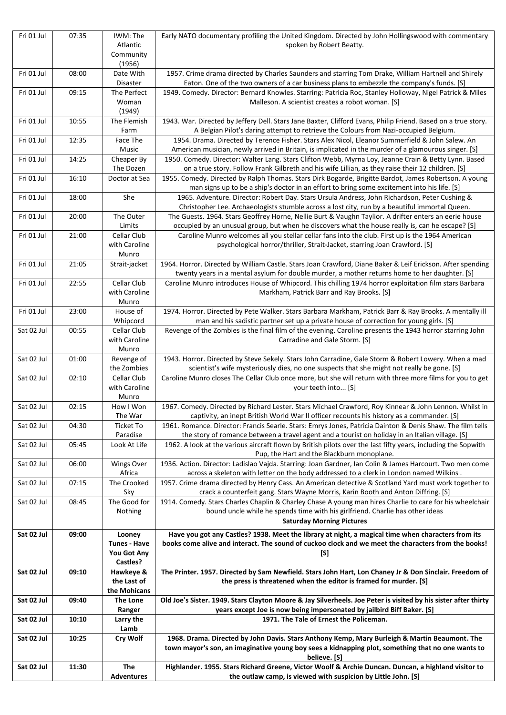| Fri 01 Jul | 07:35 | IWM: The<br>Atlantic<br>Community                               | Early NATO documentary profiling the United Kingdom. Directed by John Hollingswood with commentary<br>spoken by Robert Beatty.                                                                                     |
|------------|-------|-----------------------------------------------------------------|--------------------------------------------------------------------------------------------------------------------------------------------------------------------------------------------------------------------|
|            |       | (1956)                                                          |                                                                                                                                                                                                                    |
| Fri 01 Jul | 08:00 | Date With<br>Disaster                                           | 1957. Crime drama directed by Charles Saunders and starring Tom Drake, William Hartnell and Shirely<br>Eaton. One of the two owners of a car business plans to embezzle the company's funds. [S]                   |
| Fri 01 Jul | 09:15 | The Perfect<br>Woman<br>(1949)                                  | 1949. Comedy. Director: Bernard Knowles. Starring: Patricia Roc, Stanley Holloway, Nigel Patrick & Miles<br>Malleson. A scientist creates a robot woman. [S]                                                       |
| Fri 01 Jul | 10:55 | The Flemish<br>Farm                                             | 1943. War. Directed by Jeffery Dell. Stars Jane Baxter, Clifford Evans, Philip Friend. Based on a true story.<br>A Belgian Pilot's daring attempt to retrieve the Colours from Nazi-occupied Belgium.              |
| Fri 01 Jul | 12:35 | Face The<br>Music                                               | 1954. Drama. Directed by Terence Fisher. Stars Alex Nicol, Eleanor Summerfield & John Salew. An<br>American musician, newly arrived in Britain, is implicated in the murder of a glamourous singer. [S]            |
| Fri 01 Jul | 14:25 | Cheaper By<br>The Dozen                                         | 1950. Comedy. Director: Walter Lang. Stars Clifton Webb, Myrna Loy, Jeanne Crain & Betty Lynn. Based<br>on a true story. Follow Frank Gilbreth and his wife Lillian, as they raise their 12 children. [S]          |
| Fri 01 Jul | 16:10 | Doctor at Sea                                                   | 1955. Comedy. Directed by Ralph Thomas. Stars Dirk Bogarde, Brigitte Bardot, James Robertson. A young<br>man signs up to be a ship's doctor in an effort to bring some excitement into his life. [S]               |
| Fri 01 Jul | 18:00 | She                                                             | 1965. Adventure. Director: Robert Day. Stars Ursula Andress, John Richardson, Peter Cushing &<br>Christopher Lee. Archaeologists stumble across a lost city, run by a beautiful immortal Queen.                    |
| Fri 01 Jul | 20:00 | The Outer<br>Limits                                             | The Guests. 1964. Stars Geoffrey Horne, Nellie Burt & Vaughn Taylior. A drifter enters an eerie house<br>occupied by an unusual group, but when he discovers what the house really is, can he escape? [S]          |
| Fri 01 Jul | 21:00 | Cellar Club                                                     | Caroline Munro welcomes all you stellar cellar fans into the club. First up is the 1964 American                                                                                                                   |
|            |       | with Caroline<br>Munro                                          | psychological horror/thriller, Strait-Jacket, starring Joan Crawford. [S]                                                                                                                                          |
| Fri 01 Jul | 21:05 | Strait-jacket                                                   | 1964. Horror. Directed by William Castle. Stars Joan Crawford, Diane Baker & Leif Erickson. After spending<br>twenty years in a mental asylum for double murder, a mother returns home to her daughter. [S]        |
| Fri 01 Jul | 22:55 | Cellar Club<br>with Caroline<br>Munro                           | Caroline Munro introduces House of Whipcord. This chilling 1974 horror exploitation film stars Barbara<br>Markham, Patrick Barr and Ray Brooks. [S]                                                                |
| Fri 01 Jul | 23:00 | House of<br>Whipcord                                            | 1974. Horror. Directed by Pete Walker. Stars Barbara Markham, Patrick Barr & Ray Brooks. A mentally ill<br>man and his sadistic partner set up a private house of correction for young girls. [S]                  |
| Sat 02 Jul | 00:55 | Cellar Club<br>with Caroline<br>Munro                           | Revenge of the Zombies is the final film of the evening. Caroline presents the 1943 horror starring John<br>Carradine and Gale Storm. [S]                                                                          |
| Sat 02 Jul | 01:00 | Revenge of<br>the Zombies                                       | 1943. Horror. Directed by Steve Sekely. Stars John Carradine, Gale Storm & Robert Lowery. When a mad<br>scientist's wife mysteriously dies, no one suspects that she might not really be gone. [S]                 |
| Sat 02 Jul | 02:10 | Cellar Club<br>with Caroline<br>Munro                           | Caroline Munro closes The Cellar Club once more, but she will return with three more films for you to get<br>your teeth into [S]                                                                                   |
| Sat 02 Jul | 02:15 | How I Won<br>The War                                            | 1967. Comedy. Directed by Richard Lester. Stars Michael Crawford, Roy Kinnear & John Lennon. Whilst in<br>captivity, an inept British World War II officer recounts his history as a commander. [S]                |
| Sat 02 Jul | 04:30 | <b>Ticket To</b><br>Paradise                                    | 1961. Romance. Director: Francis Searle. Stars: Emrys Jones, Patricia Dainton & Denis Shaw. The film tells<br>the story of romance between a travel agent and a tourist on holiday in an Italian village. [S]      |
| Sat 02 Jul | 05:45 | Look At Life                                                    | 1962. A look at the various aircraft flown by British pilots over the last fifty years, including the Sopwith<br>Pup, the Hart and the Blackburn monoplane.                                                        |
| Sat 02 Jul | 06:00 | <b>Wings Over</b>                                               | 1936. Action. Director: Ladislao Vajda. Starring: Joan Gardner, Ian Colin & James Harcourt. Two men come                                                                                                           |
| Sat 02 Jul | 07:15 | Africa<br>The Crooked                                           | across a skeleton with letter on the body addressed to a clerk in London named Wilkins.<br>1957. Crime drama directed by Henry Cass. An American detective & Scotland Yard must work together to                   |
|            |       | Sky                                                             | crack a counterfeit gang. Stars Wayne Morris, Karin Booth and Anton Diffring. [S]                                                                                                                                  |
| Sat 02 Jul | 08:45 | The Good for<br>Nothing                                         | 1914. Comedy. Stars Charles Chaplin & Charley Chase A young man hires Charlie to care for his wheelchair<br>bound uncle while he spends time with his girlfriend. Charlie has other ideas                          |
|            |       |                                                                 | <b>Saturday Morning Pictures</b>                                                                                                                                                                                   |
| Sat 02 Jul | 09:00 | Looney<br><b>Tunes - Have</b><br>You Got Any<br><b>Castles?</b> | Have you got any Castles? 1938. Meet the library at night, a magical time when characters from its<br>books come alive and interact. The sound of cuckoo clock and we meet the characters from the books!<br>[S]   |
| Sat 02 Jul | 09:10 | Hawkeye &<br>the Last of<br>the Mohicans                        | The Printer. 1957. Directed by Sam Newfield. Stars John Hart, Lon Chaney Jr & Don Sinclair. Freedom of<br>the press is threatened when the editor is framed for murder. [S]                                        |
| Sat 02 Jul | 09:40 | The Lone<br>Ranger                                              | Old Joe's Sister. 1949. Stars Clayton Moore & Jay Silverheels. Joe Peter is visited by his sister after thirty<br>years except Joe is now being impersonated by jailbird Biff Baker. [S]                           |
| Sat 02 Jul | 10:10 | Larry the<br>Lamb                                               | 1971. The Tale of Ernest the Policeman.                                                                                                                                                                            |
| Sat 02 Jul | 10:25 | Cry Wolf                                                        | 1968. Drama. Directed by John Davis. Stars Anthony Kemp, Mary Burleigh & Martin Beaumont. The<br>town mayor's son, an imaginative young boy sees a kidnapping plot, something that no one wants to<br>believe. [S] |
| Sat 02 Jul | 11:30 | <b>The</b><br><b>Adventures</b>                                 | Highlander. 1955. Stars Richard Greene, Victor Woolf & Archie Duncan. Duncan, a highland visitor to<br>the outlaw camp, is viewed with suspicion by Little John. [S]                                               |